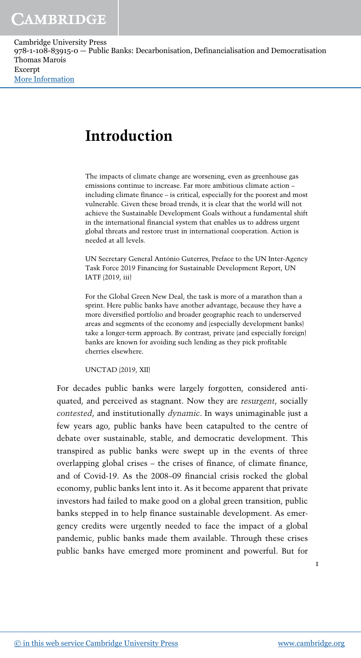# **Introduction**

The impacts of climate change are worsening, even as greenhouse gas emissions continue to increase. Far more ambitious climate action – including climate finance – is critical, especially for the poorest and most vulnerable. Given these broad trends, it is clear that the world will not achieve the Sustainable Development Goals without a fundamental shift in the international financial system that enables us to address urgent global threats and restore trust in international cooperation. Action is needed at all levels.

UN Secretary General António Guterres, Preface to the UN Inter-Agency Task Force 2019 Financing for Sustainable Development Report, UN IATF (2019, iii)

For the Global Green New Deal, the task is more of a marathon than a sprint. Here public banks have another advantage, because they have a more diversified portfolio and broader geographic reach to underserved areas and segments of the economy and (especially development banks) take a longer-term approach. By contrast, private (and especially foreign) banks are known for avoiding such lending as they pick profitable cherries elsewhere.

UNCTAD (2019, XII)

For decades public banks were largely forgotten, considered antiquated, and perceived as stagnant. Now they are *resurgent*, socially *contested*, and institutionally *dynamic*. In ways unimaginable just a few years ago, public banks have been catapulted to the centre of debate over sustainable, stable, and democratic development. This transpired as public banks were swept up in the events of three overlapping global crises – the crises of finance, of climate finance, and of Covid-19. As the 2008–09 financial crisis rocked the global economy, public banks lent into it. As it become apparent that private investors had failed to make good on a global green transition, public banks stepped in to help finance sustainable development. As emergency credits were urgently needed to face the impact of a global pandemic, public banks made them available. Through these crises public banks have emerged more prominent and powerful. But for

 $\mathbf{I}$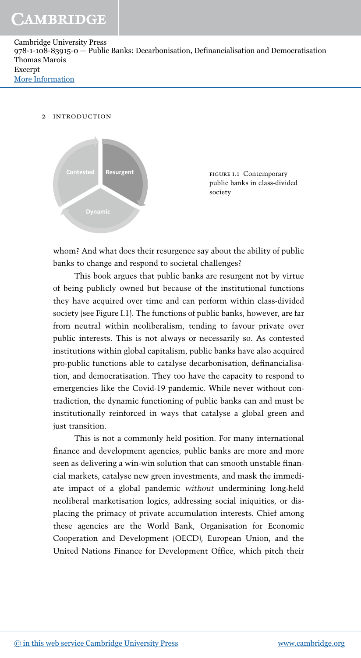### 2. INTRODUCTION



whom? And what does their resurgence say about the ability of public banks to change and respond to societal challenges?

This book argues that public banks are resurgent not by virtue of being publicly owned but because of the institutional functions they have acquired over time and can perform within class-divided society (see Figure I.1). The functions of public banks, however, are far from neutral within neoliberalism, tending to favour private over public interests. This is not always or necessarily so. As contested institutions within global capitalism, public banks have also acquired pro-public functions able to catalyse decarbonisation, definancialisation, and democratisation. They too have the capacity to respond to emergencies like the Covid-19 pandemic. While never without contradiction, the dynamic functioning of public banks can and must be institutionally reinforced in ways that catalyse a global green and just transition.

This is not a commonly held position. For many international finance and development agencies, public banks are more and more seen as delivering a win-win solution that can smooth unstable financial markets, catalyse new green investments, and mask the immediate impact of a global pandemic *without* undermining long-held neoliberal marketisation logics, addressing social iniquities, or displacing the primacy of private accumulation interests. Chief among these agencies are the World Bank, Organisation for Economic Cooperation and Development (OECD), European Union, and the United Nations Finance for Development Office, which pitch their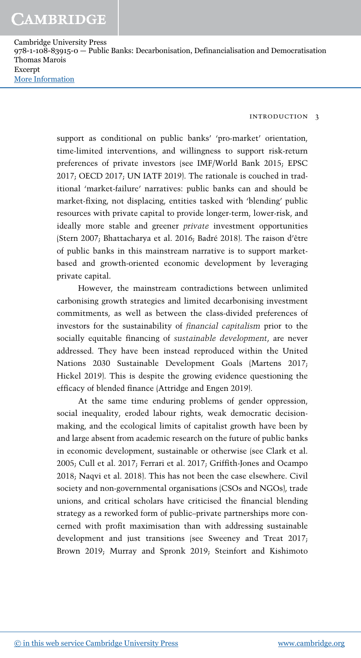## CAMBRIDGE

Cambridge University Press 978-1-108-83915-0 — Public Banks: Decarbonisation, Definancialisation and Democratisation Thomas Marois Excerpt [More Information](www.cambridge.org/9781108839150)

### INTRODUCTION 3

support as conditional on public banks' 'pro-market' orientation, time-limited interventions, and willingness to support risk-return preferences of private investors (see IMF/World Bank 2015; EPSC 2017; OECD 2017; UN IATF 2019). The rationale is couched in traditional 'market-failure' narratives: public banks can and should be market-fixing, not displacing, entities tasked with 'blending' public resources with private capital to provide longer-term, lower-risk, and ideally more stable and greener *private* investment opportunities (Stern 2007; Bhattacharya et al. 2016; Badré 2018). The raison d'être of public banks in this mainstream narrative is to support marketbased and growth-oriented economic development by leveraging private capital.

However, the mainstream contradictions between unlimited carbonising growth strategies and limited decarbonising investment commitments, as well as between the class-divided preferences of investors for the sustainability of *financial capitalism* prior to the socially equitable financing of *sustainable development*, are never addressed. They have been instead reproduced within the United Nations 2030 Sustainable Development Goals (Martens 2017; Hickel 2019). This is despite the growing evidence questioning the efficacy of blended finance (Attridge and Engen 2019).

At the same time enduring problems of gender oppression, social inequality, eroded labour rights, weak democratic decisionmaking, and the ecological limits of capitalist growth have been by and large absent from academic research on the future of public banks in economic development, sustainable or otherwise (see Clark et al. 2005; Cull et al. 2017; Ferrari et al. 2017; Griffith-Jones and Ocampo 2018; Naqvi et al. 2018). This has not been the case elsewhere. Civil society and non-governmental organisations (CSOs and NGOs), trade unions, and critical scholars have criticised the financial blending strategy as a reworked form of public–private partnerships more concerned with profit maximisation than with addressing sustainable development and just transitions (see Sweeney and Treat 2017; Brown 2019; Murray and Spronk 2019; Steinfort and Kishimoto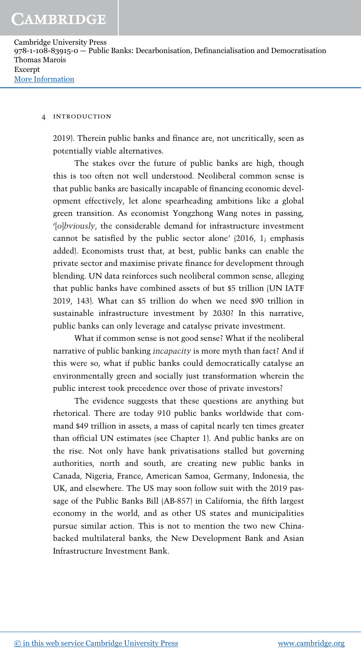### 4 INTRODUCTION

2019). Therein public banks and finance are, not uncritically, seen as potentially viable alternatives.

The stakes over the future of public banks are high, though this is too often not well understood. Neoliberal common sense is that public banks are basically incapable of financing economic development effectively, let alone spearheading ambitions like a global green transition. As economist Yongzhong Wang notes in passing, '[*o*]*bviously*, the considerable demand for infrastructure investment cannot be satisfied by the public sector alone' (2016, 1; emphasis added). Economists trust that, at best, public banks can enable the private sector and maximise private finance for development through blending. UN data reinforces such neoliberal common sense, alleging that public banks have combined assets of but \$5 trillion (UN IATF 2019, 143). What can \$5 trillion do when we need \$90 trillion in sustainable infrastructure investment by 2030? In this narrative, public banks can only leverage and catalyse private investment.

What if common sense is not good sense? What if the neoliberal narrative of public banking *incapacity* is more myth than fact? And if this were so, what if public banks could democratically catalyse an environmentally green and socially just transformation wherein the public interest took precedence over those of private investors?

The evidence suggests that these questions are anything but rhetorical. There are today 910 public banks worldwide that command \$49 trillion in assets, a mass of capital nearly ten times greater than official UN estimates (see Chapter 1). And public banks are on the rise. Not only have bank privatisations stalled but governing authorities, north and south, are creating new public banks in Canada, Nigeria, France, American Samoa, Germany, Indonesia, the UK, and elsewhere. The US may soon follow suit with the 2019 passage of the Public Banks Bill (AB-857) in California, the fifth largest economy in the world, and as other US states and municipalities pursue similar action. This is not to mention the two new Chinabacked multilateral banks, the New Development Bank and Asian Infrastructure Investment Bank.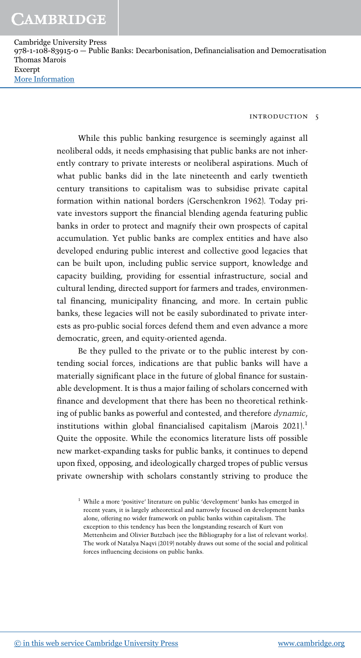### INTRODUCTION 5

While this public banking resurgence is seemingly against all neoliberal odds, it needs emphasising that public banks are not inherently contrary to private interests or neoliberal aspirations. Much of what public banks did in the late nineteenth and early twentieth century transitions to capitalism was to subsidise private capital formation within national borders (Gerschenkron 1962). Today private investors support the financial blending agenda featuring public banks in order to protect and magnify their own prospects of capital accumulation. Yet public banks are complex entities and have also developed enduring public interest and collective good legacies that can be built upon, including public service support, knowledge and capacity building, providing for essential infrastructure, social and cultural lending, directed support for farmers and trades, environmental financing, municipality financing, and more. In certain public banks, these legacies will not be easily subordinated to private interests as pro-public social forces defend them and even advance a more democratic, green, and equity-oriented agenda.

Be they pulled to the private or to the public interest by contending social forces, indications are that public banks will have a materially significant place in the future of global finance for sustainable development. It is thus a major failing of scholars concerned with finance and development that there has been no theoretical rethinking of public banks as powerful and contested, and therefore *dynamic*, institutions within global financialised capitalism (Marois 2021).<sup>1</sup> Quite the opposite. While the economics literature lists off possible new market-expanding tasks for public banks, it continues to depend upon fixed, opposing, and ideologically charged tropes of public versus private ownership with scholars constantly striving to produce the

<sup>&</sup>lt;sup>1</sup> While a more 'positive' literature on public 'development' banks has emerged in recent years, it is largely atheoretical and narrowly focused on development banks alone, offering no wider framework on public banks within capitalism. The exception to this tendency has been the longstanding research of Kurt von Mettenheim and Olivier Butzbach (see the Bibliography for a list of relevant works). The work of Natalya Naqvi (2019) notably draws out some of the social and political forces influencing decisions on public banks.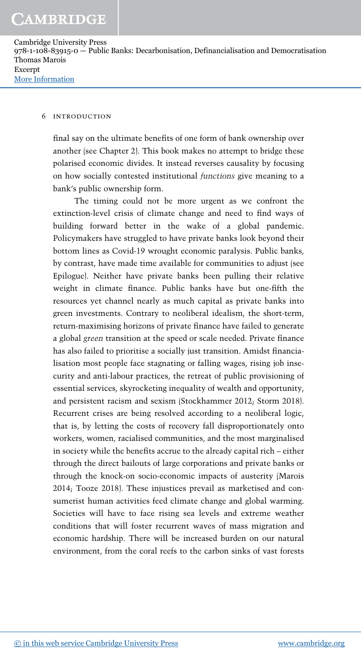### 6 INTRODUCTION

final say on the ultimate benefits of one form of bank ownership over another (see Chapter 2). This book makes no attempt to bridge these polarised economic divides. It instead reverses causality by focusing on how socially contested institutional *functions* give meaning to a bank's public ownership form.

The timing could not be more urgent as we confront the extinction-level crisis of climate change and need to find ways of building forward better in the wake of a global pandemic. Policymakers have struggled to have private banks look beyond their bottom lines as Covid-19 wrought economic paralysis. Public banks, by contrast, have made time available for communities to adjust (see Epilogue). Neither have private banks been pulling their relative weight in climate finance. Public banks have but one-fifth the resources yet channel nearly as much capital as private banks into green investments. Contrary to neoliberal idealism, the short-term, return-maximising horizons of private finance have failed to generate a global *green* transition at the speed or scale needed. Private finance has also failed to prioritise a socially just transition. Amidst financialisation most people face stagnating or falling wages, rising job insecurity and anti-labour practices, the retreat of public provisioning of essential services, skyrocketing inequality of wealth and opportunity, and persistent racism and sexism (Stockhammer 2012; Storm 2018). Recurrent crises are being resolved according to a neoliberal logic, that is, by letting the costs of recovery fall disproportionately onto workers, women, racialised communities, and the most marginalised in society while the benefits accrue to the already capital rich – either through the direct bailouts of large corporations and private banks or through the knock-on socio-economic impacts of austerity (Marois 2014; Tooze 2018). These injustices prevail as marketised and consumerist human activities feed climate change and global warming. Societies will have to face rising sea levels and extreme weather conditions that will foster recurrent waves of mass migration and economic hardship. There will be increased burden on our natural environment, from the coral reefs to the carbon sinks of vast forests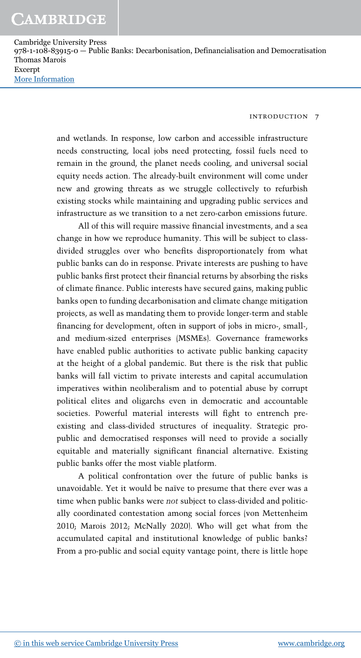## CAMBRIDGE

Cambridge University Press 978-1-108-83915-0 — Public Banks: Decarbonisation, Definancialisation and Democratisation Thomas Marois Excerpt [More Information](www.cambridge.org/9781108839150)

#### INTRODUCTION 7

and wetlands. In response, low carbon and accessible infrastructure needs constructing, local jobs need protecting, fossil fuels need to remain in the ground, the planet needs cooling, and universal social equity needs action. The already-built environment will come under new and growing threats as we struggle collectively to refurbish existing stocks while maintaining and upgrading public services and infrastructure as we transition to a net zero-carbon emissions future.

All of this will require massive financial investments, and a sea change in how we reproduce humanity. This will be subject to classdivided struggles over who benefits disproportionately from what public banks can do in response. Private interests are pushing to have public banks first protect their financial returns by absorbing the risks of climate finance. Public interests have secured gains, making public banks open to funding decarbonisation and climate change mitigation projects, as well as mandating them to provide longer-term and stable financing for development, often in support of jobs in micro-, small-, and medium-sized enterprises (MSMEs). Governance frameworks have enabled public authorities to activate public banking capacity at the height of a global pandemic. But there is the risk that public banks will fall victim to private interests and capital accumulation imperatives within neoliberalism and to potential abuse by corrupt political elites and oligarchs even in democratic and accountable societies. Powerful material interests will fight to entrench preexisting and class-divided structures of inequality. Strategic propublic and democratised responses will need to provide a socially equitable and materially significant financial alternative. Existing public banks offer the most viable platform.

A political confrontation over the future of public banks is unavoidable. Yet it would be naïve to presume that there ever was a time when public banks were *not* subject to class-divided and politically coordinated contestation among social forces (von Mettenheim 2010; Marois 2012; McNally 2020). Who will get what from the accumulated capital and institutional knowledge of public banks? From a pro-public and social equity vantage point, there is little hope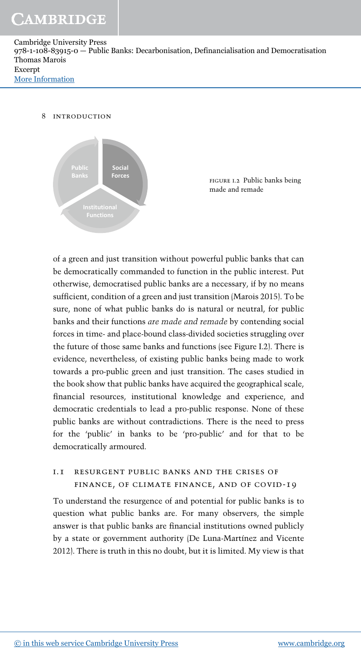#### 8 INTRODUCTION



FIGURE I.2 Public banks being made and remade

of a green and just transition without powerful public banks that can be democratically commanded to function in the public interest. Put otherwise, democratised public banks are a necessary, if by no means sufficient, condition of a green and just transition (Marois 2015). To be sure, none of what public banks do is natural or neutral, for public banks and their functions *are made and remade* by contending social forces in time- and place-bound class-divided societies struggling over the future of those same banks and functions (see Figure I.2). There is evidence, nevertheless, of existing public banks being made to work towards a pro-public green and just transition. The cases studied in the book show that public banks have acquired the geographical scale, financial resources, institutional knowledge and experience, and democratic credentials to lead a pro-public response. None of these public banks are without contradictions. There is the need to press for the 'public' in banks to be 'pro-public' and for that to be democratically armoured.

### I.I RESURGENT PUBLIC BANKS AND THE CRISES OF FINANCE, OF CLIMATE FINANCE, AND OF COVID-19

To understand the resurgence of and potential for public banks is to question what public banks are. For many observers, the simple answer is that public banks are financial institutions owned publicly by a state or government authority (De Luna-Martínez and Vicente 2012). There is truth in this no doubt, but it is limited. My view is that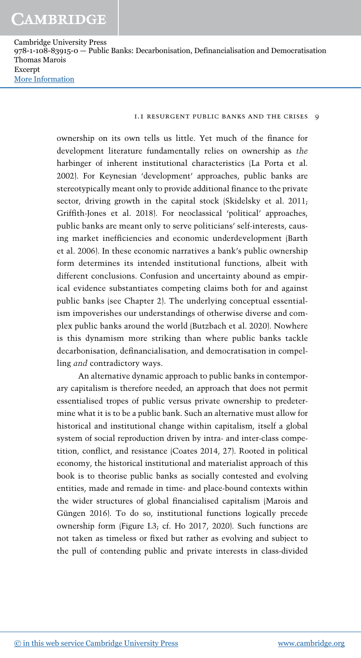### I.I RESURGENT PUBLIC BANKS AND THE CRISES 9

ownership on its own tells us little. Yet much of the finance for development literature fundamentally relies on ownership as *the* harbinger of inherent institutional characteristics (La Porta et al. 2002). For Keynesian 'development' approaches, public banks are stereotypically meant only to provide additional finance to the private sector, driving growth in the capital stock (Skidelsky et al. 2011; Griffith-Jones et al. 2018). For neoclassical 'political' approaches, public banks are meant only to serve politicians' self-interests, causing market inefficiencies and economic underdevelopment (Barth et al. 2006). In these economic narratives a bank's public ownership form determines its intended institutional functions, albeit with different conclusions. Confusion and uncertainty abound as empirical evidence substantiates competing claims both for and against public banks (see Chapter 2). The underlying conceptual essentialism impoverishes our understandings of otherwise diverse and complex public banks around the world (Butzbach et al. 2020). Nowhere is this dynamism more striking than where public banks tackle decarbonisation, definancialisation, and democratisation in compelling *and* contradictory ways.

An alternative dynamic approach to public banks in contemporary capitalism is therefore needed, an approach that does not permit essentialised tropes of public versus private ownership to predetermine what it is to be a public bank. Such an alternative must allow for historical and institutional change within capitalism, itself a global system of social reproduction driven by intra- and inter-class competition, conflict, and resistance (Coates 2014, 27). Rooted in political economy, the historical institutional and materialist approach of this book is to theorise public banks as socially contested and evolving entities, made and remade in time- and place-bound contexts within the wider structures of global financialised capitalism (Marois and Güngen 2016). To do so, institutional functions logically precede ownership form (Figure I.3; cf. Ho 2017, 2020). Such functions are not taken as timeless or fixed but rather as evolving and subject to the pull of contending public and private interests in class-divided